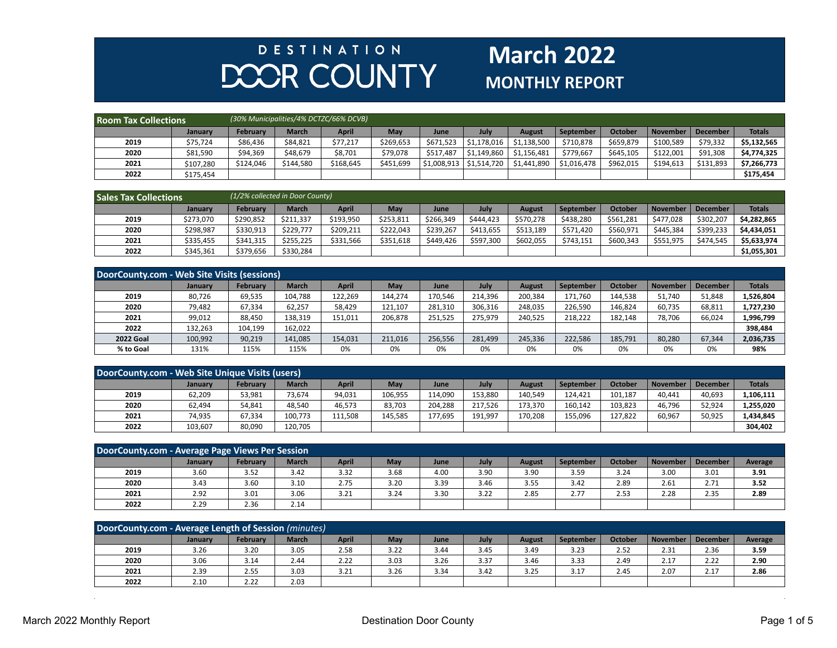## **DESTINATION** DOOR COUNTY

## **March 2022 MONTHLY REPORT**

| <b>Room Tax Collections</b> |           |           |              | (30% Municipalities/4% DCTZC/66% DCVB) |           |                           |             |             |             |                |                 |                 |               |
|-----------------------------|-----------|-----------|--------------|----------------------------------------|-----------|---------------------------|-------------|-------------|-------------|----------------|-----------------|-----------------|---------------|
|                             | January   | February  | <b>March</b> | April                                  | May       | June                      | July        | August      | September   | <b>October</b> | <b>November</b> | <b>December</b> | <b>Totals</b> |
| 2019                        | \$75,724  | \$86,436  | \$84,821     | \$77,217                               | \$269,653 | \$671.523                 | \$1,178,016 | \$1,138,500 | \$710.878   | \$659,879      | \$100,589       | \$79,332        | \$5,132,565   |
| 2020                        | \$81,590  | \$94,369  | \$48,679     | \$8,701                                | \$79,078  | \$517.487                 | \$1,149,860 | \$1,156,481 | \$779,667   | \$645,105      | \$122,001       | \$91,308        | \$4,774,325   |
| 2021                        | \$107,280 | \$124,046 | \$144,580    | \$168,645                              | \$451,699 | $\frac{1}{2}$ \$1,008,913 | \$1,514,720 | \$1,441,890 | \$1,016,478 | \$962,015      | \$194,613       | \$131,893       | \$7,266,773   |
| 2022                        | \$175,454 |           |              |                                        |           |                           |             |             |             |                |                 |                 | \$175,454     |

| <b>Sales Tax Collections</b> |           | (1/2% collected in Door County) |              |           |           |           |           |           |           |                |                 |                 |               |  |
|------------------------------|-----------|---------------------------------|--------------|-----------|-----------|-----------|-----------|-----------|-----------|----------------|-----------------|-----------------|---------------|--|
|                              | Januarv   | February                        | <b>March</b> | April     | May       | June      | July      | August    | September | <b>October</b> | <b>November</b> | <b>December</b> | <b>Totals</b> |  |
| 2019                         | \$273,070 | \$290,852                       | \$211,337    | \$193,950 | \$253.811 | \$266,349 | \$444.423 | \$570,278 | \$438.280 | \$561,281      | \$477.028       | \$302,207       | \$4.282.865   |  |
| 2020                         | \$298,987 | \$330,913                       | \$229.777    | \$209,211 | \$222,043 | \$239,267 | \$413,655 | \$513,189 | \$571,420 | \$560,971      | \$445.384       | \$399,233       | \$4,434,051   |  |
| 2021                         | \$335,455 | \$341,315                       | \$255.225    | \$331,566 | \$351,618 | \$449.426 | \$597,300 | \$602,055 | \$743,151 | \$600,343      | \$551,975       | \$474,545       | \$5,633,974   |  |
| 2022                         | \$345,361 | \$379,656                       | \$330,284    |           |           |           |           |           |           |                |                 |                 | \$1,055,301   |  |

| DoorCounty.com - Web Site Visits (sessions) |         |          |              |              |         |         |         |               |           |         |                 |                 |               |
|---------------------------------------------|---------|----------|--------------|--------------|---------|---------|---------|---------------|-----------|---------|-----------------|-----------------|---------------|
|                                             | January | February | <b>March</b> | <b>April</b> | May     | June    | July    | <b>August</b> | September | October | <b>November</b> | <b>December</b> | <b>Totals</b> |
| 2019                                        | 80,726  | 69,535   | 104,788      | 122,269      | 144.274 | 170,546 | 214,396 | 200,384       | 171,760   | 144,538 | 51,740          | 51,848          | 1,526,804     |
| 2020                                        | 79,482  | 67,334   | 62,257       | 58,429       | 121,107 | 281,310 | 306,316 | 248,035       | 226,590   | 146.824 | 60,735          | 68,811          | 1,727,230     |
| 2021                                        | 99,012  | 88,450   | 138.319      | 151,011      | 206,878 | 251,525 | 275,979 | 240,525       | 218.222   | 182,148 | 78.706          | 66,024          | 1,996,799     |
| 2022                                        | 132,263 | 104,199  | 162.022      |              |         |         |         |               |           |         |                 |                 | 398,484       |
| <b>2022 Goal</b>                            | 100,992 | 90,219   | 141,085      | 154,031      | 211,016 | 256,556 | 281.499 | 245,336       | 222.586   | 185,791 | 80,280          | 67,344          | 2,036,735     |
| % to Goal                                   | 131%    | 115%     | 115%         | 0%           | 0%      | 0%      | 0%      | 0%            | 0%        | 0%      | 0%              | 0%              | 98%           |

| DoorCounty.com - Web Site Unique Visits (users) |         |          |              |         |         |         |         |               |           |                |                 |                 |               |
|-------------------------------------------------|---------|----------|--------------|---------|---------|---------|---------|---------------|-----------|----------------|-----------------|-----------------|---------------|
|                                                 | Januarv | February | <b>March</b> | April   | May     | June    | July    | <b>August</b> | September | <b>October</b> | <b>November</b> | <b>December</b> | <b>Totals</b> |
| 2019                                            | 62,209  | 53,981   | 73,674       | 94,031  | 106,955 | 14,090  | 153,880 | 140,549       | 124.421   | 101,187        | 40.441          | 40,693          | .,106,111     |
| 2020                                            | 62,494  | 54,841   | 48.540       | 46,573  | 83,703  | 204,288 | 217.526 | 173,370       | 160,142   | 103,823        | 46,796          | 52,924          | 1,255,020     |
| 2021                                            | 74,935  | 67,334   | 100,773      | 111,508 | 145,585 | 177,695 | 191,997 | 170,208       | 155,096   | 127,822        | 60,967          | 50,925          | 1,434,845     |
| 2022                                            | 103,607 | 80,090   | 120.705      |         |         |         |         |               |           |                |                 |                 | 304,402       |

| DoorCounty.com - Average Page Views Per Session |         |          |              |              |      |      |      |               |           |                |                 |                 |         |
|-------------------------------------------------|---------|----------|--------------|--------------|------|------|------|---------------|-----------|----------------|-----------------|-----------------|---------|
|                                                 | January | February | <b>March</b> | <b>April</b> | May  | June | July | <b>August</b> | September | <b>October</b> | <b>November</b> | <b>December</b> | Average |
| 2019                                            | 3.60    | 3.52     | 3.42         | 3.32         | 3.68 | 4.00 | 3.90 | 3.90          | 3.59      | 3.24           | 3.00            | 3.01            | 3.91    |
| 2020                                            | 3.43    | 3.60     | 3.10         | 2.75         | 3.20 | 3.39 | 3.46 | 3.55          | 3.42      | 2.89           | 2.61            | 2.71            | 3.52    |
| 2021                                            | 2.92    | 3.01     | 3.06         | 3.21         | 3.24 | 3.30 | 3.22 | 2.85          | 2.77      | 2.53           | 2.28            | 2.35            | 2.89    |
| 2022                                            | 2.29    | 2.36     | 2.14         |              |      |      |      |               |           |                |                 |                 |         |

|      | DoorCounty.com - Average Length of Session (minutes) |                 |              |              |      |      |      |               |           |                |                 |          |         |  |
|------|------------------------------------------------------|-----------------|--------------|--------------|------|------|------|---------------|-----------|----------------|-----------------|----------|---------|--|
|      | January                                              | <b>February</b> | <b>March</b> | <b>April</b> | May  | June | July | <b>August</b> | September | <b>October</b> | <b>November</b> | December | Average |  |
| 2019 | 3.26                                                 | 3.20            | 3.05         | 2.58         | 3.22 | 3.44 | 3.45 | 3.49          | 3.23      | 2.52           | 2.31            | 2.36     | 3.59    |  |
| 2020 | 3.06                                                 | 3.14            | 2.44         | 2.22         | 3.03 | 3.26 | 3.37 | 3.46          | 3.33      | 2.49           | 2.17            | 2.22     | 2.90    |  |
| 2021 | 2.39                                                 | 2.55            | 3.03         | 3.21         | 3.26 | 3.34 | 3.42 | 3.25          | 3.17      | 2.45           | 2.07            | 2.17     | 2.86    |  |
| 2022 | 2.10                                                 | 2.22            | 2.03         |              |      |      |      |               |           |                |                 |          |         |  |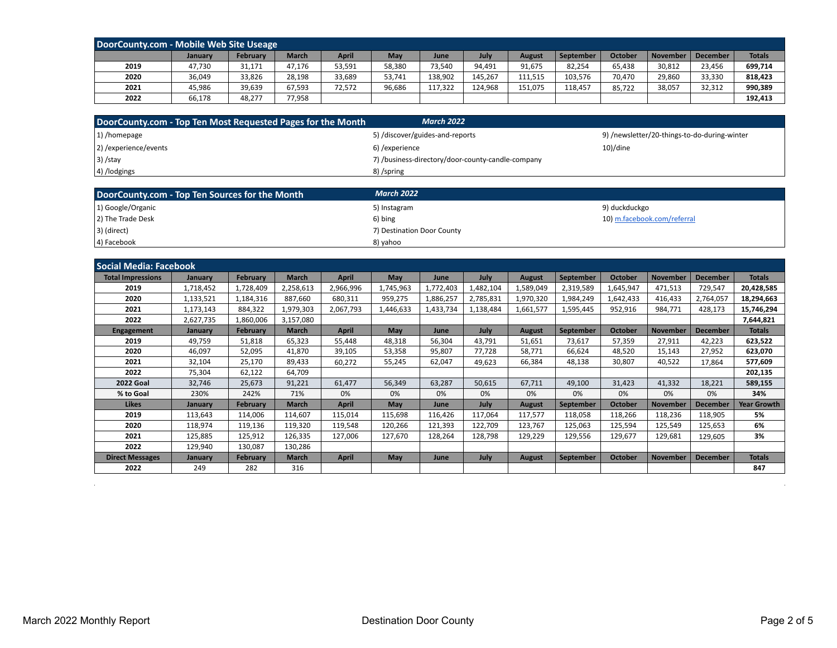| DoorCounty.com - Mobile Web Site Useage |         |          |              |              |        |         |         |               |           |                |                 |          |               |
|-----------------------------------------|---------|----------|--------------|--------------|--------|---------|---------|---------------|-----------|----------------|-----------------|----------|---------------|
|                                         | Januarv | February | <b>March</b> | <b>April</b> | May    | June    | July    | <b>August</b> | September | <b>October</b> | <b>November</b> | December | <b>Totals</b> |
| 2019                                    | 47,730  | 31,171   | 47,176       | 53,591       | 58,380 | 73,540  | 94,491  | 91,675        | 82,254    | 65,438         | 30,812          | 23,456   | 699,714       |
| 2020                                    | 36,049  | 33,826   | 28,198       | 33,689       | 53,741 | 138,902 | 145.267 | 111,515       | 103,576   | 70.470         | 29,860          | 33,330   | 818,423       |
| 2021                                    | 45,986  | 39,639   | 67,593       | 72,572       | 96,686 | 117,322 | 124,968 | 151,075       | 118,457   | 85.722         | 38,057          | 32,312   | 990,389       |
| 2022                                    | 66,178  | 48,277   | 77,958       |              |        |         |         |               |           |                |                 |          | 192,413       |

| DoorCounty.com - Top Ten Most Requested Pages for the Month | <b>March 2022</b>                                 |                                              |
|-------------------------------------------------------------|---------------------------------------------------|----------------------------------------------|
| $ 1\rangle$ /homepage                                       | 5) /discover/guides-and-reports                   | 9) /newsletter/20-things-to-do-during-winter |
| 2) / experience/ events                                     | 6) /experience                                    | $10$ /dine                                   |
| $ 3\rangle$ /stay                                           | 7) /business-directory/door-county-candle-company |                                              |
| 4) /lodgings                                                | 8) /spring                                        |                                              |
|                                                             |                                                   |                                              |

| DoorCounty.com - Top Ten Sources for the Month | <b>March 2022</b>          |                             |
|------------------------------------------------|----------------------------|-----------------------------|
| 1) Google/Organic                              | 5) Instagram               | 9) duckduckgo               |
| 2) The Trade Desk                              | 6) bing                    | 10) m.facebook.com/referral |
| 3) (direct)                                    | 7) Destination Door County |                             |
| 4) Facebook                                    | 8) yahoo                   |                             |

| <b>Social Media: Facebook</b> |           |                 |              |              |           |           |           |               |                  |                |                 |                 |                    |
|-------------------------------|-----------|-----------------|--------------|--------------|-----------|-----------|-----------|---------------|------------------|----------------|-----------------|-----------------|--------------------|
| <b>Total Impressions</b>      | January   | February        | <b>March</b> | April        | May       | June      | July      | <b>August</b> | <b>September</b> | <b>October</b> | <b>November</b> | <b>December</b> | <b>Totals</b>      |
| 2019                          | 1,718,452 | 1,728,409       | 2,258,613    | 2,966,996    | 1,745,963 | 1,772,403 | 1,482,104 | 1,589,049     | 2,319,589        | 1,645,947      | 471,513         | 729,547         | 20,428,585         |
| 2020                          | 1,133,521 | 1,184,316       | 887,660      | 680,311      | 959,275   | 1,886,257 | 2,785,831 | 1,970,320     | 1,984,249        | 1,642,433      | 416,433         | 2,764,057       | 18,294,663         |
| 2021                          | 1,173,143 | 884,322         | 1,979,303    | 2,067,793    | 1,446,633 | 1,433,734 | 1,138,484 | 1,661,577     | 1,595,445        | 952,916        | 984,771         | 428,173         | 15,746,294         |
| 2022                          | 2,627,735 | 1,860,006       | 3,157,080    |              |           |           |           |               |                  |                |                 |                 | 7,644,821          |
| <b>Engagement</b>             | January   | <b>February</b> | <b>March</b> | April        | May       | June      | July      | <b>August</b> | September        | <b>October</b> | <b>November</b> | <b>December</b> | <b>Totals</b>      |
| 2019                          | 49,759    | 51,818          | 65,323       | 55,448       | 48,318    | 56,304    | 43,791    | 51,651        | 73,617           | 57,359         | 27,911          | 42,223          | 623,522            |
| 2020                          | 46,097    | 52,095          | 41.870       | 39,105       | 53,358    | 95,807    | 77,728    | 58,771        | 66,624           | 48,520         | 15,143          | 27,952          | 623,070            |
| 2021                          | 32,104    | 25,170          | 89,433       | 60,272       | 55,245    | 62,047    | 49,623    | 66,384        | 48,138           | 30,807         | 40,522          | 17,864          | 577,609            |
| 2022                          | 75,304    | 62,122          | 64,709       |              |           |           |           |               |                  |                |                 |                 | 202,135            |
| <b>2022 Goal</b>              | 32,746    | 25,673          | 91,221       | 61,477       | 56,349    | 63,287    | 50,615    | 67,711        | 49,100           | 31,423         | 41,332          | 18,221          | 589,155            |
| % to Goal                     | 230%      | 242%            | 71%          | 0%           | 0%        | 0%        | 0%        | 0%            | 0%               | 0%             | 0%              | 0%              | 34%                |
| <b>Likes</b>                  | January   | <b>February</b> | <b>March</b> | April        | May       | June      | July      | <b>August</b> | <b>September</b> | <b>October</b> | <b>November</b> | <b>December</b> | <b>Year Growth</b> |
| 2019                          | 113,643   | 114,006         | 114,607      | 115,014      | 115,698   | 116,426   | 117,064   | 117,577       | 118,058          | 118,266        | 118,236         | 118,905         | 5%                 |
| 2020                          | 118,974   | 119,136         | 119,320      | 119,548      | 120,266   | 121,393   | 122,709   | 123,767       | 125,063          | 125,594        | 125,549         | 125,653         | 6%                 |
| 2021                          | 125,885   | 125,912         | 126,335      | 127,006      | 127,670   | 128,264   | 128,798   | 129,229       | 129,556          | 129,677        | 129,681         | 129,605         | 3%                 |
| 2022                          | 129,940   | 130,087         | 130,286      |              |           |           |           |               |                  |                |                 |                 |                    |
| <b>Direct Messages</b>        | January   | February        | <b>March</b> | <b>April</b> | May       | June      | July      | <b>August</b> | September        | <b>October</b> | <b>November</b> | <b>December</b> | Totals             |
| 2022                          | 249       | 282             | 316          |              |           |           |           |               |                  |                |                 |                 | 847                |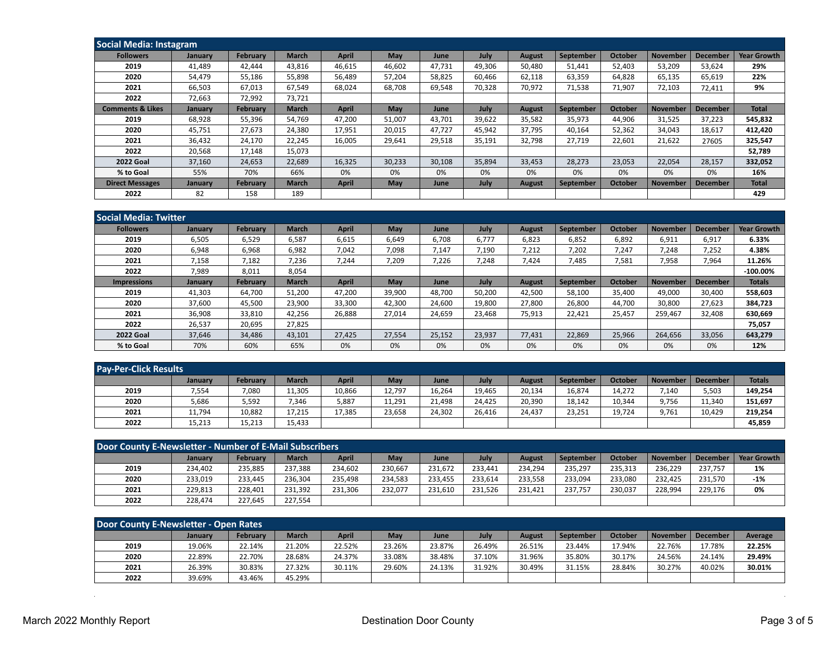| Social Media: Instagram     |         |                 |              |              |        |        |        |               |           |                |                 |                 |                    |
|-----------------------------|---------|-----------------|--------------|--------------|--------|--------|--------|---------------|-----------|----------------|-----------------|-----------------|--------------------|
| <b>Followers</b>            | January | <b>February</b> | <b>March</b> | <b>April</b> | May    | June   | July   | <b>August</b> | September | <b>October</b> | <b>November</b> | <b>December</b> | <b>Year Growth</b> |
| 2019                        | 41,489  | 42.444          | 43,816       | 46,615       | 46,602 | 47,731 | 49,306 | 50,480        | 51,441    | 52.403         | 53,209          | 53,624          | 29%                |
| 2020                        | 54,479  | 55,186          | 55,898       | 56,489       | 57,204 | 58,825 | 60,466 | 62,118        | 63,359    | 64,828         | 65,135          | 65,619          | 22%                |
| 2021                        | 66,503  | 67,013          | 67.549       | 68.024       | 68.708 | 69,548 | 70,328 | 70,972        | 71,538    | 71,907         | 72,103          | 72,411          | 9%                 |
| 2022                        | 72,663  | 72,992          | 73,721       |              |        |        |        |               |           |                |                 |                 |                    |
| <b>Comments &amp; Likes</b> | January | February        | <b>March</b> | April        | May    | June   | July   | <b>August</b> | September | <b>October</b> | <b>November</b> | <b>December</b> | <b>Total</b>       |
| 2019                        | 68.928  | 55.396          | 54.769       | 47.200       | 51.007 | 43.701 | 39.622 | 35.582        | 35,973    | 44.906         | 31,525          | 37.223          | 545,832            |
| 2020                        | 45,751  | 27,673          | 24.380       | 17,951       | 20,015 | 47.727 | 45,942 | 37,795        | 40,164    | 52,362         | 34,043          | 18,617          | 412,420            |
| 2021                        | 36,432  | 24,170          | 22.245       | 16,005       | 29,641 | 29,518 | 35,191 | 32,798        | 27,719    | 22,601         | 21,622          | 27605           | 325,547            |
| 2022                        | 20,568  | 17,148          | 15,073       |              |        |        |        |               |           |                |                 |                 | 52,789             |
| <b>2022 Goal</b>            | 37,160  | 24,653          | 22.689       | 16,325       | 30,233 | 30.108 | 35.894 | 33,453        | 28,273    | 23,053         | 22.054          | 28,157          | 332,052            |
| % to Goal                   | 55%     | 70%             | 66%          | 0%           | 0%     | 0%     | 0%     | 0%            | 0%        | 0%             | 0%              | 0%              | 16%                |
| <b>Direct Messages</b>      | January | February        | <b>March</b> | April        | May    | June   | July   | <b>August</b> | September | <b>October</b> | <b>November</b> | <b>December</b> | <b>Total</b>       |
| 2022                        | 82      | 158             | 189          |              |        |        |        |               |           |                |                 |                 | 429                |

| <b>Social Media: Twitter</b> |         |                 |              |        |        |        |        |        |           |         |                 |                 |                    |
|------------------------------|---------|-----------------|--------------|--------|--------|--------|--------|--------|-----------|---------|-----------------|-----------------|--------------------|
| <b>Followers</b>             | January | <b>February</b> | <b>March</b> | April  | May    | June   | July   | August | September | October | <b>November</b> | December        | <b>Year Growth</b> |
| 2019                         | 6,505   | 6.529           | 6.587        | 6.615  | 6,649  | 6.708  | 6,777  | 6.823  | 6,852     | 6,892   | 6.911           | 6.917           | 6.33%              |
| 2020                         | 6,948   | 6,968           | 6,982        | 7,042  | 7,098  | 7,147  | 7,190  | 7,212  | 7,202     | 7,247   | 7,248           | 7.252           | 4.38%              |
| 2021                         | 7,158   | 7,182           | 7,236        | 7.244  | 7,209  | 7,226  | 7,248  | 7.424  | 7,485     | 7,581   | 7,958           | 7,964           | 11.26%             |
| 2022                         | 7.989   | 8.011           | 8.054        |        |        |        |        |        |           |         |                 |                 | $-100.00%$         |
| <b>Impressions</b>           | January | <b>February</b> | <b>March</b> | April  | May    | June   | July   | August | September | October | <b>November</b> | <b>December</b> | <b>Totals</b>      |
| 2019                         | 41,303  | 64.700          | 51.200       | 47.200 | 39,900 | 48.700 | 50,200 | 42,500 | 58,100    | 35,400  | 49.000          | 30,400          | 558,603            |
| 2020                         | 37.600  | 45,500          | 23.900       | 33,300 | 42,300 | 24,600 | 19,800 | 27,800 | 26,800    | 44,700  | 30,800          | 27,623          | 384,723            |
| 2021                         | 36,908  | 33,810          | 42,256       | 26,888 | 27,014 | 24,659 | 23,468 | 75,913 | 22,421    | 25,457  | 259,467         | 32.408          | 630,669            |
| 2022                         | 26,537  | 20,695          | 27,825       |        |        |        |        |        |           |         |                 |                 | 75,057             |
| <b>2022 Goal</b>             | 37,646  | 34,486          | 43,101       | 27,425 | 27,554 | 25,152 | 23,937 | 77,431 | 22,869    | 25,966  | 264,656         | 33,056          | 643,279            |
| % to Goal                    | 70%     | 60%             | 65%          | 0%     | 0%     | 0%     | 0%     | 0%     | 0%        | 0%      | 0%              | 0%              | 12%                |

| <b>Pay-Per-Click Results</b> |                |          |              |        |        |        |        |               |           |                |                 |          |               |
|------------------------------|----------------|----------|--------------|--------|--------|--------|--------|---------------|-----------|----------------|-----------------|----------|---------------|
|                              | <b>January</b> | February | <b>March</b> | April  | May    | June   | July   | <b>August</b> | September | <b>October</b> | <b>November</b> | December | <b>Totals</b> |
| 2019                         | 7,554          | ,080     | 11,305       | 10,866 | 12,797 | 16,264 | 19,465 | 20,134        | 16,874    | 14,272         | 7,140           | 5,503    | 149,254       |
| 2020                         | 5,686          | 5,592    | ,346         | 5,887  | 11,291 | 21,498 | 24,425 | 20,390        | 18,142    | 10,344         | 9,756           | 11,340   | 151,697       |
| 2021                         | 11,794         | 10,882   | 17.215       | 17,385 | 23,658 | 24,302 | 26,416 | 24,437        | 23,251    | 19,724         | 9,761           | 10,429   | 219,254       |
| 2022                         | 15,213         | 15,213   | 15,433       |        |        |        |        |               |           |                |                 |          | 45,859        |

| <b>Door County E-Newsletter - Number of E-Mail Subscribers</b> |         |          |              |              |         |         |         |         |                  |                |                 |          |                    |
|----------------------------------------------------------------|---------|----------|--------------|--------------|---------|---------|---------|---------|------------------|----------------|-----------------|----------|--------------------|
|                                                                | January | February | <b>March</b> | <b>April</b> | May     | June    | July    | August  | <b>September</b> | <b>October</b> | <b>November</b> | December | <b>Year Growth</b> |
| 2019                                                           | 234,402 | 235,885  | 237,388      | 234,602      | 230,667 | 231.672 | 233.441 | 234,294 | 235,297          | 235,313        | 236,229         | 237,757  | 1%                 |
| 2020                                                           | 233,019 | 233,445  | 236.304      | 235,498      | 234,583 | 233.455 | 233.614 | 233,558 | 233,094          | 233,080        | 232.425         | 231,570  | $-1%$              |
| 2021                                                           | 229,813 | 228,401  | 231.392      | 231,306      | 232,077 | 231,610 | 231.526 | 231.421 | 237.757          | 230,037        | 228.994         | 229,176  | 0%                 |
| 2022                                                           | 228.474 | 227,645  | 227,554      |              |         |         |         |         |                  |                |                 |          |                    |

| Door County E-Newsletter - Open Rates |         |          |              |        |        |        |        |               |           |                |          |          |         |
|---------------------------------------|---------|----------|--------------|--------|--------|--------|--------|---------------|-----------|----------------|----------|----------|---------|
|                                       | Januarv | February | <b>March</b> | April  | May    | June   | July   | <b>August</b> | September | <b>October</b> | November | December | Average |
| 2019                                  | 19.06%  | 22.14%   | 21.20%       | 22.52% | 23.26% | 23.87% | 26.49% | 26.51%        | 23.44%    | 17.94%         | 22.76%   | 17.78%   | 22.25%  |
| 2020                                  | 22.89%  | 22.70%   | 28.68%       | 24.37% | 33.08% | 38.48% | 37.10% | 31.96%        | 35.80%    | 30.17%         | 24.56%   | 24.14%   | 29.49%  |
| 2021                                  | 26.39%  | 30.83%   | 27.32%       | 30.11% | 29.60% | 24.13% | 31.92% | 30.49%        | 31.15%    | 28.84%         | 30.27%   | 40.02%   | 30.01%  |
| 2022                                  | 39.69%  | 43.46%   | 45.29%       |        |        |        |        |               |           |                |          |          |         |

 $\sim$ 

 $\sim$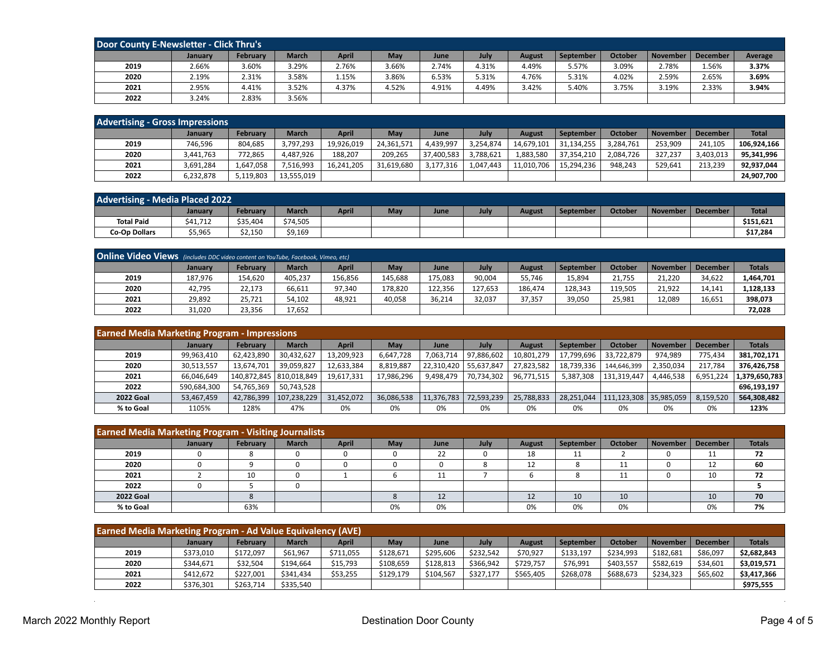| Door County E-Newsletter - Click Thru's |                |                 |              |       |       |       |       |               |           |                |                 |          |         |
|-----------------------------------------|----------------|-----------------|--------------|-------|-------|-------|-------|---------------|-----------|----------------|-----------------|----------|---------|
|                                         | <b>January</b> | <b>February</b> | <b>March</b> | April | May   | June  | July  | <b>August</b> | September | <b>October</b> | <b>November</b> | December | Average |
| 2019                                    | 2.66%          | 3.60%           | 3.29%        | 2.76% | 3.66% | 2.74% | 4.31% | 4.49%         | 5.57%     | 3.09%          | 2.78%           | 1.56%    | 3.37%   |
| 2020                                    | 2.19%          | 2.31%           | 3.58%        | 1.15% | 3.86% | 6.53% | 5.31% | 4.76%         | 5.31%     | 4.02%          | 2.59%           | 2.65%    | 3.69%   |
| 2021                                    | 2.95%          | 4.41%           | 3.52%        | 4.37% | 4.52% | 4.91% | 4.49% | 3.42%         | 5.40%     | 3.75%          | 3.19%           | 2.33%    | 3.94%   |
| 2022                                    | 3.24%          | 2.83%           | 3.56%        |       |       |       |       |               |           |                |                 |          |         |

| <b>Advertising - Gross Impressions</b> |           |           |              |              |            |            |           |               |            |                |                 |                 |              |
|----------------------------------------|-----------|-----------|--------------|--------------|------------|------------|-----------|---------------|------------|----------------|-----------------|-----------------|--------------|
|                                        | January   | February  | <b>March</b> | <b>April</b> | May        | June       | July      | <b>August</b> | September  | <b>October</b> | <b>November</b> | <b>December</b> | <b>Total</b> |
| 2019                                   | 746.596   | 804,685   | 3,797,293    | 19,926,019   | 24,361,571 | 4.439.997  | 3.254.874 | 14,679,101    | 31.134.255 | 3.284.761      | 253.909         | 241.105         | 106.924.166  |
| 2020                                   | 3,441,763 | 772,865   | 1.487.926    | 188,207      | 209,265    | 37,400,583 | 3,788,621 | 1,883,580     | 37,354,210 | 2,084,726      | 327,237         | 3,403,013       | 95,341,996   |
| 2021                                   | 3,691,284 | 1,647,058 | 7,516,993    | 16,241,205   | 31,619,680 | 3,177,316  | 1,047,443 | 11,010,706    | 15,294,236 | 948,243        | 529,641         | 213,239         | 92.937.044   |
| 2022                                   | 6,232,878 | 5,119,803 | 13,555,019   |              |            |            |           |               |            |                |                 |                 | 24,907,700   |

| <b>Advertising - Media Placed 2022</b> |          |          |              |              |     |      |      |        |                  |                |                 |          |              |
|----------------------------------------|----------|----------|--------------|--------------|-----|------|------|--------|------------------|----------------|-----------------|----------|--------------|
|                                        | January  | February | <b>March</b> | <b>April</b> | May | June | July | August | <b>September</b> | <b>October</b> | <b>November</b> | December | <b>Total</b> |
| <b>Total Paid</b>                      | \$41,712 | \$35,404 | \$74,505     |              |     |      |      |        |                  |                |                 |          | \$151,621    |
| <b>Co-Op Dollars</b>                   | \$5,965  | \$2,150  | \$9,169      |              |     |      |      |        |                  |                |                 |          | \$17,284     |

| Online Video Views (includes DDC video content on YouTube, Facebook, Vimeo, etc) |         |                 |              |              |         |         |         |               |           |                |                 |                 |               |
|----------------------------------------------------------------------------------|---------|-----------------|--------------|--------------|---------|---------|---------|---------------|-----------|----------------|-----------------|-----------------|---------------|
|                                                                                  | January | <b>February</b> | <b>March</b> | <b>April</b> | May     | June    | July    | <b>August</b> | September | <b>October</b> | <b>November</b> | <b>December</b> | <b>Totals</b> |
| 2019                                                                             | 187.976 | 154.620         | 405,237      | 156,856      | 145,688 | 175.083 | 90,004  | 55.746        | 15,894    | 21,755         | 21,220          | 34,622          | 1,464,701     |
| 2020                                                                             | 42,795  | 22,173          | 66,611       | 97,340       | 178,820 | 122.356 | 127,653 | 186.474       | 128,343   | 119,505        | 21,922          | 14.141          | 1,128,133     |
| 2021                                                                             | 29,892  | 25,721          | 54,102       | 48,921       | 40,058  | 36,214  | 32,037  | 37,357        | 39,050    | 25,981         | 12,089          | 16,651          | 398,073       |
| 2022                                                                             | 31,020  | 23,356          | 17,652       |              |         |         |         |               |           |                |                 |                 | 72,028        |

| <b>Earned Media Marketing Program - Impressions</b> |             |                         |              |            |            |            |            |               |            |                          |                 |                 |               |
|-----------------------------------------------------|-------------|-------------------------|--------------|------------|------------|------------|------------|---------------|------------|--------------------------|-----------------|-----------------|---------------|
|                                                     | January     | February                | <b>March</b> | April      | May        | June       | July       | <b>August</b> | September  | <b>October</b>           | <b>November</b> | <b>December</b> | <b>Totals</b> |
| 2019                                                | 99,963,410  | 62,423,890              | 30,432,627   | 13,209,923 | 6,647,728  | 7,063,714  | 97,886,602 | 10,801,279    | 17,799,696 | 33,722,879               | 974,989         | 775,434         | 381,702,171   |
| 2020                                                | 30,513,557  | 13,674,701              | 39,059,827   | 12,633,384 | 8,819,887  | 22,310,420 | 55,637,847 | 27,823,582    | 18,739,336 | 144,646,399              | 2,350,034       | 217.784         | 376,426,758   |
| 2021                                                | 66,046,649  | 140,872,845 810,018,849 |              | 19,617,331 | 17,986,296 | 9,498,479  | 70,734,302 | 96,771,515    | 5,387,308  | 131,319,447              | 4,446,538       | 6,951,224       | 1,379,650,783 |
| 2022                                                | 590,684,300 | 54,765,369              | 50.743.528   |            |            |            |            |               |            |                          |                 |                 | 696,193,197   |
| <b>2022 Goal</b>                                    | 53,467,459  | 42,786,399              | 107,238,229  | 31,452,072 | 36,086,538 | 11,376,783 | 72,593,239 | 25,788,833    | 28,251,044 | $111,123,308$ 35,985,059 |                 | 8,159,520       | 564,308,482   |
| % to Goal                                           | 1105%       | 128%                    | 47%          | 0%         | 0%         | 0%         | 0%         | 0%            | 0%         | 0%                       | 0%              | 0%              | 123%          |

| <b>Earned Media Marketing Program - Visiting Journalists</b> |         |          |              |              |     |      |      |               |           |         |                 |                 |               |
|--------------------------------------------------------------|---------|----------|--------------|--------------|-----|------|------|---------------|-----------|---------|-----------------|-----------------|---------------|
|                                                              | January | February | <b>March</b> | <b>April</b> | May | June | July | <b>August</b> | September | October | <b>November</b> | <b>December</b> | <b>Totals</b> |
| 2019                                                         |         |          |              |              |     | 22   |      | 18            | 11        |         |                 | <b>. .</b>      | 72            |
| 2020                                                         |         |          |              |              |     |      |      | ᆠ             |           | 11      |                 | $\sim$          | 60            |
| 2021                                                         |         | 10       |              |              |     |      |      |               |           | 11      |                 | 10              | 72            |
| 2022                                                         |         |          |              |              |     |      |      |               |           |         |                 |                 |               |
| <b>2022 Goal</b>                                             |         |          |              |              |     | 12   |      | 12            | 10        | 10      |                 | 10              | 70            |
| % to Goal                                                    |         | 63%      |              |              | 0%  | 0%   |      | 0%            | 0%        | 0%      |                 | 0%              | 7%            |

| <b>Earned Media Marketing Program - Ad Value Equivalency (AVE)</b> |           |                 |              |              |           |           |           |           |           |           |                 |          |               |
|--------------------------------------------------------------------|-----------|-----------------|--------------|--------------|-----------|-----------|-----------|-----------|-----------|-----------|-----------------|----------|---------------|
|                                                                    | January   | <b>February</b> | <b>March</b> | <b>April</b> | May       | June      | July      | August    | September | October   | <b>November</b> | December | <b>Totals</b> |
| 2019                                                               | \$373,010 | \$172,097       | \$61.967     | \$711.055    | \$128.671 | \$295,606 | \$232.542 | \$70,927  | \$133.197 | \$234,993 | \$182.681       | \$86,097 | \$2,682,843   |
| 2020                                                               | \$344,671 | \$32,504        | \$194,664    | \$15,793     | \$108,659 | \$128,813 | \$366,942 | \$729.757 | \$76,991  | \$403,557 | \$582,619       | \$34,601 | \$3,019,571   |
| 2021                                                               | \$412,672 | \$227,001       | \$341,434    | \$53,255     | \$129,179 | \$104,567 | \$327,177 | \$565,405 | \$268,078 | \$688,673 | \$234,323       | \$65,602 | \$3,417,366   |
| 2022                                                               | \$376,301 | \$263,714       | \$335,540    |              |           |           |           |           |           |           |                 |          | \$975,555     |

 $\mathcal{A}$ 

 $\sim$